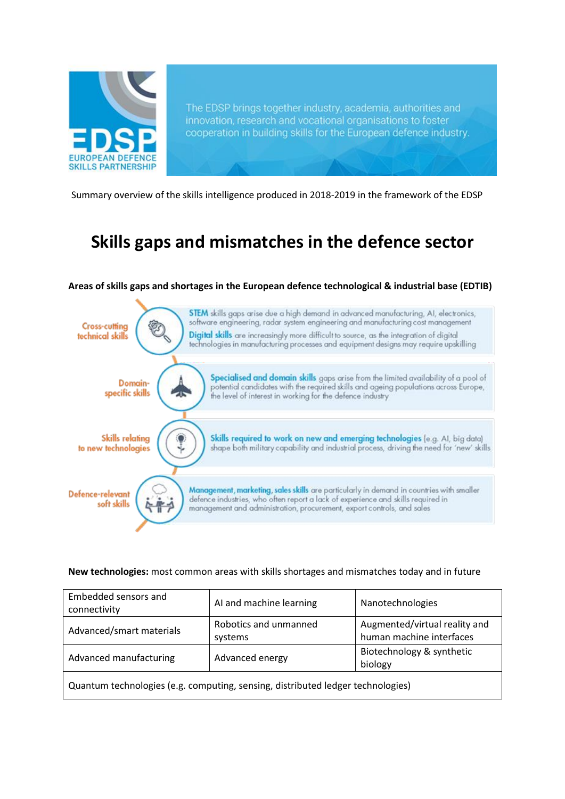

The EDSP brings together industry, academia, authorities and innovation, research and vocational organisations to foster cooperation in building skills for the European defence industry.

Summary overview of the skills intelligence produced in 2018-2019 in the framework of the EDSP

# **Skills gaps and mismatches in the defence sector**

## **Areas of skills gaps and shortages in the European defence technological & industrial base (EDTIB)**



## **New technologies:** most common areas with skills shortages and mismatches today and in future

| Embedded sensors and<br>connectivity                                            | AI and machine learning          | Nanotechnologies                                          |  |  |
|---------------------------------------------------------------------------------|----------------------------------|-----------------------------------------------------------|--|--|
| Advanced/smart materials                                                        | Robotics and unmanned<br>systems | Augmented/virtual reality and<br>human machine interfaces |  |  |
| Advanced manufacturing                                                          | Advanced energy                  | Biotechnology & synthetic<br>biology                      |  |  |
| Quantum technologies (e.g. computing, sensing, distributed ledger technologies) |                                  |                                                           |  |  |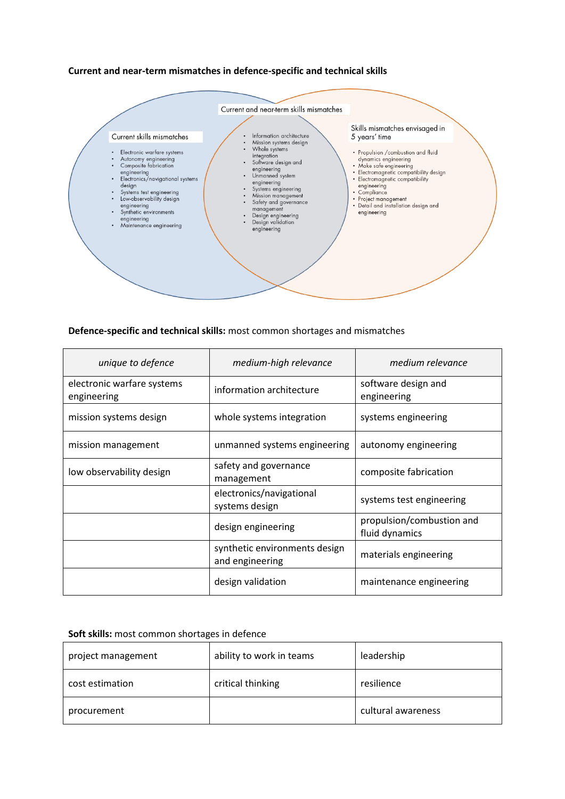## **Current and near-term mismatches in defence-specific and technical skills**



#### **Defence-specific and technical skills:** most common shortages and mismatches

| unique to defence                         | medium-high relevance                            | medium relevance                            |
|-------------------------------------------|--------------------------------------------------|---------------------------------------------|
| electronic warfare systems<br>engineering | information architecture                         | software design and<br>engineering          |
| mission systems design                    | whole systems integration                        | systems engineering                         |
| mission management                        | unmanned systems engineering                     | autonomy engineering                        |
| low observability design                  | safety and governance<br>management              | composite fabrication                       |
|                                           | electronics/navigational<br>systems design       | systems test engineering                    |
|                                           | design engineering                               | propulsion/combustion and<br>fluid dynamics |
|                                           | synthetic environments design<br>and engineering | materials engineering                       |
|                                           | design validation                                | maintenance engineering                     |

#### **Soft skills:** most common shortages in defence

| project management | ability to work in teams | leadership         |
|--------------------|--------------------------|--------------------|
| cost estimation    | critical thinking        | resilience         |
| procurement        |                          | cultural awareness |